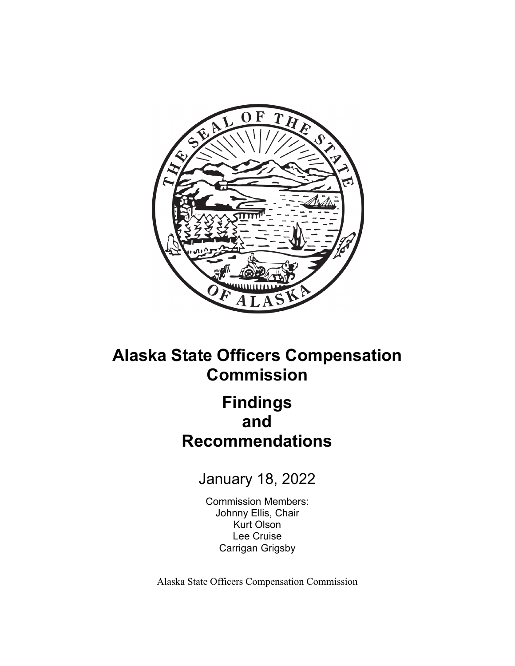

## **Alaska State Officers Compensation Commission**

# **Findings and Recommendations**

January 18, 2022

Commission Members: Johnny Ellis, Chair Kurt Olson Lee Cruise Carrigan Grigsby

Alaska State Officers Compensation Commission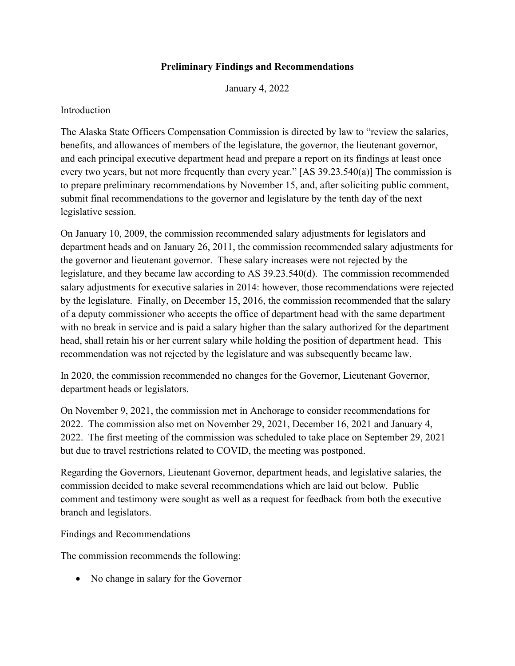#### **Preliminary Findings and Recommendations**

January 4, 2022

#### Introduction

The Alaska State Officers Compensation Commission is directed by law to "review the salaries, benefits, and allowances of members of the legislature, the governor, the lieutenant governor, and each principal executive department head and prepare a report on its findings at least once every two years, but not more frequently than every year." [AS 39.23.540(a)] The commission is to prepare preliminary recommendations by November 15, and, after soliciting public comment, submit final recommendations to the governor and legislature by the tenth day of the next legislative session.

On January 10, 2009, the commission recommended salary adjustments for legislators and department heads and on January 26, 2011, the commission recommended salary adjustments for the governor and lieutenant governor. These salary increases were not rejected by the legislature, and they became law according to AS 39.23.540(d). The commission recommended salary adjustments for executive salaries in 2014: however, those recommendations were rejected by the legislature. Finally, on December 15, 2016, the commission recommended that the salary of a deputy commissioner who accepts the office of department head with the same department with no break in service and is paid a salary higher than the salary authorized for the department head, shall retain his or her current salary while holding the position of department head. This recommendation was not rejected by the legislature and was subsequently became law.

In 2020, the commission recommended no changes for the Governor, Lieutenant Governor, department heads or legislators.

On November 9, 2021, the commission met in Anchorage to consider recommendations for 2022. The commission also met on November 29, 2021, December 16, 2021 and January 4, 2022. The first meeting of the commission was scheduled to take place on September 29, 2021 but due to travel restrictions related to COVID, the meeting was postponed.

Regarding the Governors, Lieutenant Governor, department heads, and legislative salaries, the commission decided to make several recommendations which are laid out below. Public comment and testimony were sought as well as a request for feedback from both the executive branch and legislators.

Findings and Recommendations

The commission recommends the following:

• No change in salary for the Governor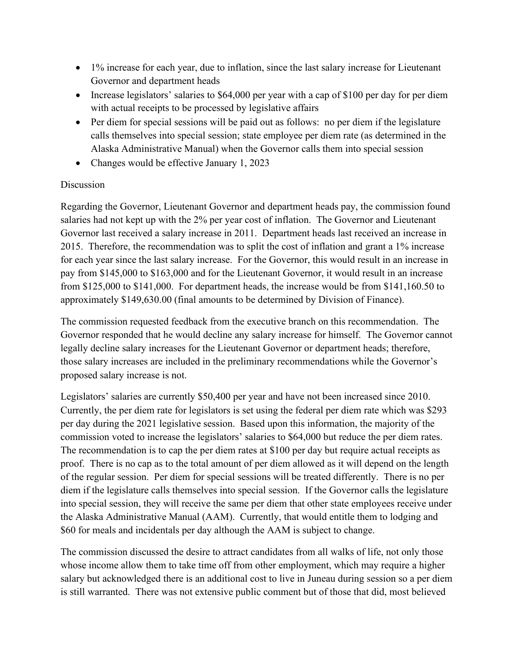- 1% increase for each year, due to inflation, since the last salary increase for Lieutenant Governor and department heads
- Increase legislators' salaries to \$64,000 per year with a cap of \$100 per day for per diem with actual receipts to be processed by legislative affairs
- Per diem for special sessions will be paid out as follows: no per diem if the legislature calls themselves into special session; state employee per diem rate (as determined in the Alaska Administrative Manual) when the Governor calls them into special session
- Changes would be effective January 1, 2023

### Discussion

Regarding the Governor, Lieutenant Governor and department heads pay, the commission found salaries had not kept up with the 2% per year cost of inflation. The Governor and Lieutenant Governor last received a salary increase in 2011. Department heads last received an increase in 2015. Therefore, the recommendation was to split the cost of inflation and grant a 1% increase for each year since the last salary increase. For the Governor, this would result in an increase in pay from \$145,000 to \$163,000 and for the Lieutenant Governor, it would result in an increase from \$125,000 to \$141,000. For department heads, the increase would be from \$141,160.50 to approximately \$149,630.00 (final amounts to be determined by Division of Finance).

The commission requested feedback from the executive branch on this recommendation. The Governor responded that he would decline any salary increase for himself. The Governor cannot legally decline salary increases for the Lieutenant Governor or department heads; therefore, those salary increases are included in the preliminary recommendations while the Governor's proposed salary increase is not.

Legislators' salaries are currently \$50,400 per year and have not been increased since 2010. Currently, the per diem rate for legislators is set using the federal per diem rate which was \$293 per day during the 2021 legislative session. Based upon this information, the majority of the commission voted to increase the legislators' salaries to \$64,000 but reduce the per diem rates. The recommendation is to cap the per diem rates at \$100 per day but require actual receipts as proof. There is no cap as to the total amount of per diem allowed as it will depend on the length of the regular session. Per diem for special sessions will be treated differently. There is no per diem if the legislature calls themselves into special session. If the Governor calls the legislature into special session, they will receive the same per diem that other state employees receive under the Alaska Administrative Manual (AAM). Currently, that would entitle them to lodging and \$60 for meals and incidentals per day although the AAM is subject to change.

The commission discussed the desire to attract candidates from all walks of life, not only those whose income allow them to take time off from other employment, which may require a higher salary but acknowledged there is an additional cost to live in Juneau during session so a per diem is still warranted. There was not extensive public comment but of those that did, most believed